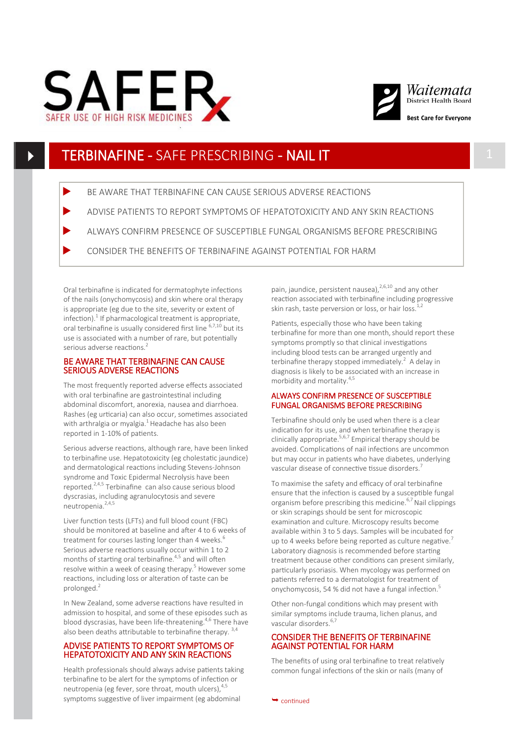



# TERBINAFINE - SAFE PRESCRIBING - NAIL IT 1

- BE AWARE THAT TERBINAFINE CAN CAUSE SERIOUS ADVERSE REACTIONS
- ADVISE PATIENTS TO REPORT SYMPTOMS OF HEPATOTOXICITY AND ANY SKIN REACTIONS
- ALWAYS CONFIRM PRESENCE OF SUSCEPTIBLE FUNGAL ORGANISMS BEFORE PRESCRIBING
- CONSIDER THE BENEFITS OF TERBINAFINE AGAINST POTENTIAL FOR HARM

Oral terbinafine is indicated for dermatophyte infections of the nails (onychomycosis) and skin where oral therapy is appropriate (eg due to the site, severity or extent of  $inflection$ ).<sup>1</sup> If pharmacological treatment is appropriate, oral terbinafine is usually considered first line 6,7,10 but its use is associated with a number of rare, but potentially serious adverse reactions.<sup>2</sup>

#### BE AWARE THAT TERBINAFINE CAN CAUSE SERIOUS ADVERSE REACTIONS

The most frequently reported adverse effects associated with oral terbinafine are gastrointestinal including abdominal discomfort, anorexia, nausea and diarrhoea. Rashes (eg urticaria) can also occur, sometimes associated with arthralgia or myalgia.<sup>1</sup> Headache has also been reported in 1-10% of patients.

Serious adverse reactions, although rare, have been linked to terbinafine use. Hepatotoxicity (eg cholestatic jaundice) and dermatological reactions including Stevens-Johnson syndrome and Toxic Epidermal Necrolysis have been reported.2,4,5 Terbinafine can also cause serious blood dyscrasias, including agranulocytosis and severe neutropenia. $2,4,5$ 

Liver function tests (LFTs) and full blood count (FBC) should be monitored at baseline and after 4 to 6 weeks of treatment for courses lasting longer than 4 weeks.<sup>6</sup> Serious adverse reactions usually occur within 1 to 2 months of starting oral terbinafine.<sup>4,5</sup> and will often resolve within a week of ceasing therapy.<sup>5</sup> However some reactions, including loss or alteration of taste can be prolonged.<sup>2</sup>

In New Zealand, some adverse reactions have resulted in admission to hospital, and some of these episodes such as blood dyscrasias, have been life-threatening.4,6 There have also been deaths attributable to terbinafine therapy.<sup>3,4</sup>

### ADVISE PATIENTS TO REPORT SYMPTOMS OF HEPATOTOXICITY AND ANY SKIN REACTIONS

Health professionals should always advise patients taking terbinafine to be alert for the symptoms of infection or neutropenia (eg fever, sore throat, mouth ulcers),  $4/5$ symptoms suggestive of liver impairment (eg abdominal

pain, jaundice, persistent nausea),  $^{2,6,10}$  and any other reaction associated with terbinafine including progressive skin rash, taste perversion or loss, or hair loss. $1,2$ 

Patients, especially those who have been taking terbinafine for more than one month, should report these symptoms promptly so that clinical investigations including blood tests can be arranged urgently and terbinafine therapy stopped immediately. $^{2}$  A delay in diagnosis is likely to be associated with an increase in morbidity and mortality.4,5

#### ALWAYS CONFIRM PRESENCE OF SUSCEPTIBLE FUNGAL ORGANISMS BEFORE PRESCRIBING

Terbinafine should only be used when there is a clear indication for its use, and when terbinafine therapy is clinically appropriate.<sup>5,6,7</sup> Empirical therapy should be avoided. Complications of nail infections are uncommon but may occur in patients who have diabetes, underlying vascular disease of connective tissue disorders.<sup>7</sup>

To maximise the safety and efficacy of oral terbinafine ensure that the infection is caused by a susceptible fungal organism before prescribing this medicine.6,7 Nail clippings or skin scrapings should be sent for microscopic examination and culture. Microscopy results become available within 3 to 5 days. Samples will be incubated for up to 4 weeks before being reported as culture negative.<sup>7</sup> Laboratory diagnosis is recommended before starting treatment because other conditions can present similarly, particularly psoriasis. When mycology was performed on patients referred to a dermatologist for treatment of onychomycosis, 54 % did not have a fungal infection.<sup>5</sup>

Other non-fungal conditions which may present with similar symptoms include trauma, lichen planus, and vascular disorders.<sup>6,7</sup>

## CONSIDER THE BENEFITS OF TERBINAFINE AGAINST POTENTIAL FOR HARM

The benefits of using oral terbinafine to treat relatively common fungal infections of the skin or nails (many of

 $\rightarrow$  continued